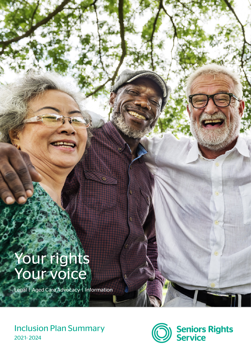# Your rights Your voice

Legal | Aged Care Advocacy | Information

## Inclusion Plan Summary 202 1- 2024



**Seniors Rights<br>Service**